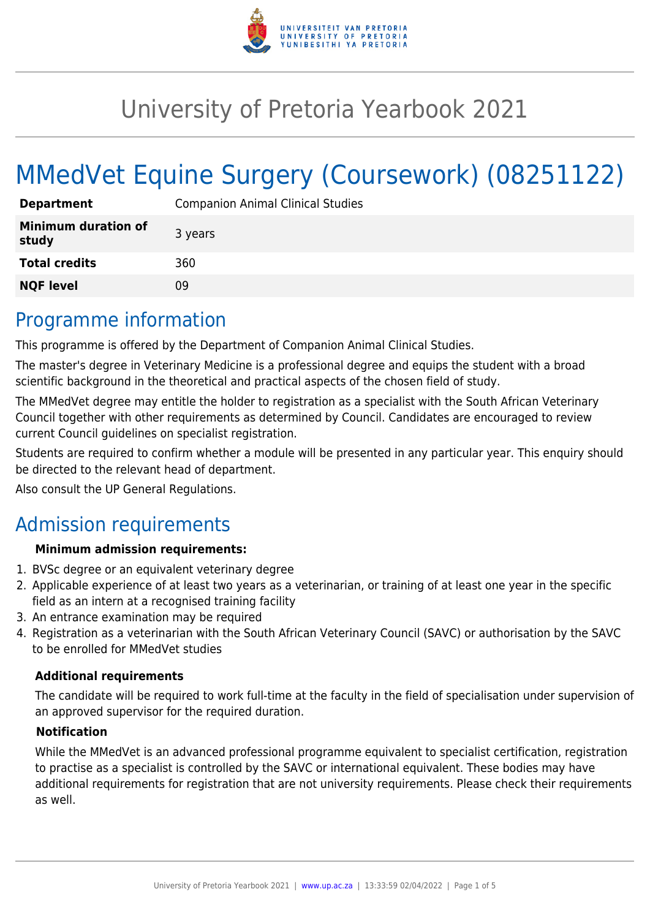

# University of Pretoria Yearbook 2021

# MMedVet Equine Surgery (Coursework) (08251122)

| <b>Department</b>                   | <b>Companion Animal Clinical Studies</b> |
|-------------------------------------|------------------------------------------|
| <b>Minimum duration of</b><br>study | 3 years                                  |
| <b>Total credits</b>                | 360                                      |
| <b>NQF level</b>                    | 09                                       |

# Programme information

This programme is offered by the Department of Companion Animal Clinical Studies.

The master's degree in Veterinary Medicine is a professional degree and equips the student with a broad scientific background in the theoretical and practical aspects of the chosen field of study.

The MMedVet degree may entitle the holder to registration as a specialist with the South African Veterinary Council together with other requirements as determined by Council. Candidates are encouraged to review current Council guidelines on specialist registration.

Students are required to confirm whether a module will be presented in any particular year. This enquiry should be directed to the relevant head of department.

Also consult the UP General Regulations.

# Admission requirements

### **Minimum admission requirements:**

- 1. BVSc degree or an equivalent veterinary degree
- 2. Applicable experience of at least two years as a veterinarian, or training of at least one year in the specific field as an intern at a recognised training facility
- 3. An entrance examination may be required
- 4. Registration as a veterinarian with the South African Veterinary Council (SAVC) or authorisation by the SAVC to be enrolled for MMedVet studies

### **Additional requirements**

The candidate will be required to work full-time at the faculty in the field of specialisation under supervision of an approved supervisor for the required duration.

### **Notification**

While the MMedVet is an advanced professional programme equivalent to specialist certification, registration to practise as a specialist is controlled by the SAVC or international equivalent. These bodies may have additional requirements for registration that are not university requirements. Please check their requirements as well.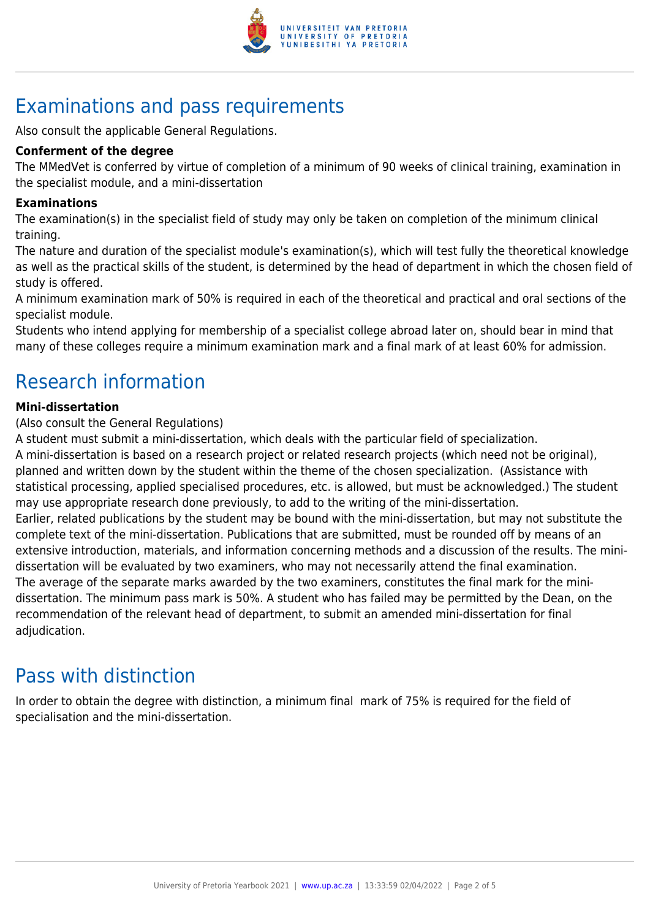

# Examinations and pass requirements

Also consult the applicable General Regulations.

### **Conferment of the degree**

The MMedVet is conferred by virtue of completion of a minimum of 90 weeks of clinical training, examination in the specialist module, and a mini-dissertation

### **Examinations**

The examination(s) in the specialist field of study may only be taken on completion of the minimum clinical training.

The nature and duration of the specialist module's examination(s), which will test fully the theoretical knowledge as well as the practical skills of the student, is determined by the head of department in which the chosen field of study is offered.

A minimum examination mark of 50% is required in each of the theoretical and practical and oral sections of the specialist module.

Students who intend applying for membership of a specialist college abroad later on, should bear in mind that many of these colleges require a minimum examination mark and a final mark of at least 60% for admission.

# Research information

### **Mini-dissertation**

(Also consult the General Regulations)

A student must submit a mini-dissertation, which deals with the particular field of specialization.

A mini-dissertation is based on a research project or related research projects (which need not be original), planned and written down by the student within the theme of the chosen specialization. (Assistance with statistical processing, applied specialised procedures, etc. is allowed, but must be acknowledged.) The student may use appropriate research done previously, to add to the writing of the mini-dissertation. Earlier, related publications by the student may be bound with the mini-dissertation, but may not substitute the complete text of the mini-dissertation. Publications that are submitted, must be rounded off by means of an extensive introduction, materials, and information concerning methods and a discussion of the results. The minidissertation will be evaluated by two examiners, who may not necessarily attend the final examination. The average of the separate marks awarded by the two examiners, constitutes the final mark for the minidissertation. The minimum pass mark is 50%. A student who has failed may be permitted by the Dean, on the recommendation of the relevant head of department, to submit an amended mini-dissertation for final adjudication.

# Pass with distinction

In order to obtain the degree with distinction, a minimum final mark of 75% is required for the field of specialisation and the mini-dissertation.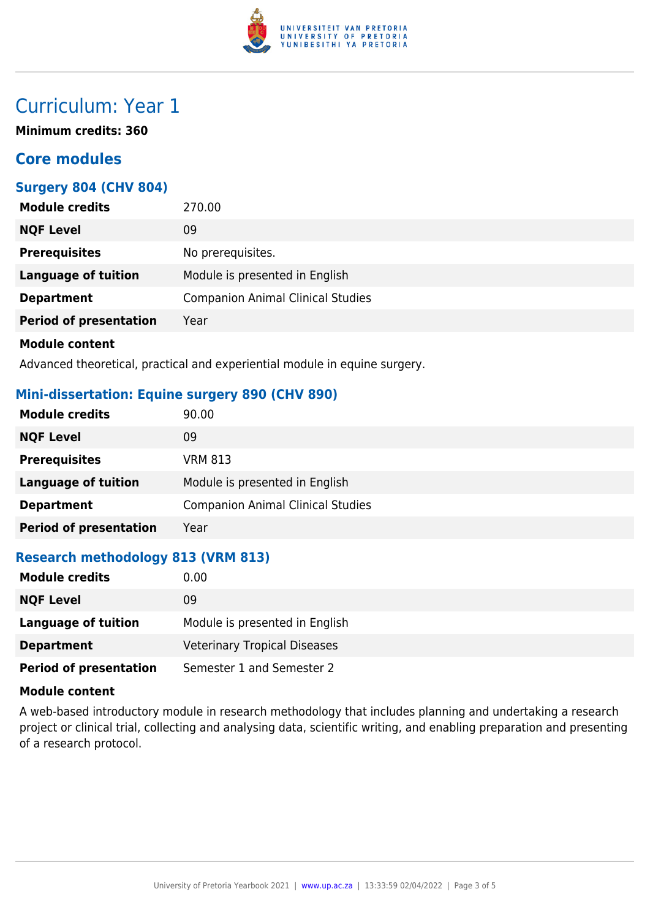

# Curriculum: Year 1

**Minimum credits: 360**

# **Core modules**

### **Surgery 804 (CHV 804)**

| <b>Module credits</b>         | 270.00                                   |
|-------------------------------|------------------------------------------|
| <b>NQF Level</b>              | 09                                       |
| <b>Prerequisites</b>          | No prerequisites.                        |
| <b>Language of tuition</b>    | Module is presented in English           |
| <b>Department</b>             | <b>Companion Animal Clinical Studies</b> |
| <b>Period of presentation</b> | Year                                     |
| <b>Module content</b>         |                                          |

Advanced theoretical, practical and experiential module in equine surgery.

### **Mini-dissertation: Equine surgery 890 (CHV 890)**

| <b>Module credits</b>         | 90.00                                    |
|-------------------------------|------------------------------------------|
| <b>NQF Level</b>              | 09                                       |
| <b>Prerequisites</b>          | <b>VRM 813</b>                           |
| Language of tuition           | Module is presented in English           |
| <b>Department</b>             | <b>Companion Animal Clinical Studies</b> |
| <b>Period of presentation</b> | Year                                     |

## **Research methodology 813 (VRM 813)**

| <b>Module credits</b>         | 0.00                                |
|-------------------------------|-------------------------------------|
| <b>NQF Level</b>              | 09                                  |
| Language of tuition           | Module is presented in English      |
| <b>Department</b>             | <b>Veterinary Tropical Diseases</b> |
| <b>Period of presentation</b> | Semester 1 and Semester 2           |

#### **Module content**

A web-based introductory module in research methodology that includes planning and undertaking a research project or clinical trial, collecting and analysing data, scientific writing, and enabling preparation and presenting of a research protocol.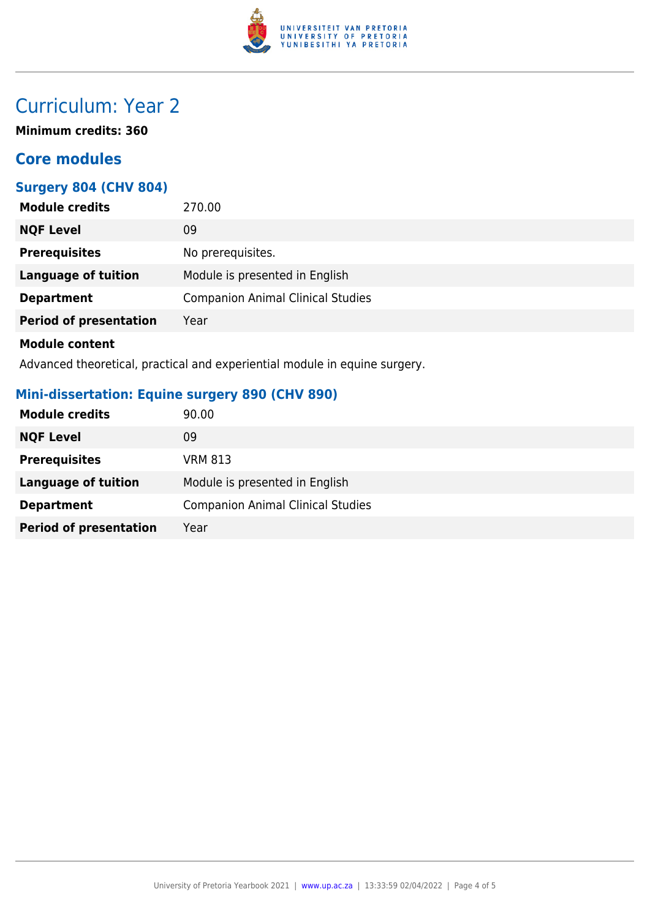

# Curriculum: Year 2

**Minimum credits: 360**

# **Core modules**

## **Surgery 804 (CHV 804)**

| <b>Module credits</b>         | 270.00                                   |
|-------------------------------|------------------------------------------|
| <b>NQF Level</b>              | 09                                       |
| <b>Prerequisites</b>          | No prerequisites.                        |
| <b>Language of tuition</b>    | Module is presented in English           |
| <b>Department</b>             | <b>Companion Animal Clinical Studies</b> |
| <b>Period of presentation</b> | Year                                     |
| <b>Module content</b>         |                                          |

Advanced theoretical, practical and experiential module in equine surgery.

## **Mini-dissertation: Equine surgery 890 (CHV 890)**

| <b>Module credits</b>         | 90.00                                    |
|-------------------------------|------------------------------------------|
| <b>NQF Level</b>              | 09                                       |
| <b>Prerequisites</b>          | <b>VRM 813</b>                           |
| <b>Language of tuition</b>    | Module is presented in English           |
| <b>Department</b>             | <b>Companion Animal Clinical Studies</b> |
| <b>Period of presentation</b> | Year                                     |